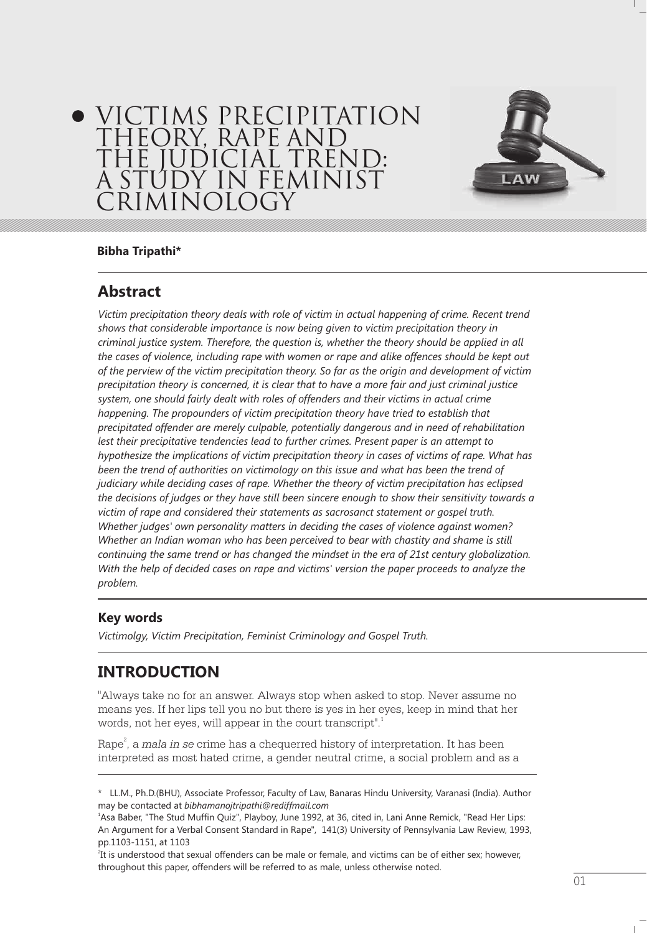# VICTIMS PRECIPITATION THEORY, RAPE AND THE JUDICIAL TREND: A STUDY IN FEMINIST CRIMINOLOGY



### **Bibha Tripathi\***

### **Abstract**

*Victim precipitation theory deals with role of victim in actual happening of crime. Recent trend shows that considerable importance is now being given to victim precipitation theory in criminal justice system. Therefore, the question is, whether the theory should be applied in all the cases of violence, including rape with women or rape and alike offences should be kept out of the perview of the victim precipitation theory. So far as the origin and development of victim precipitation theory is concerned, it is clear that to have a more fair and just criminal justice system, one should fairly dealt with roles of offenders and their victims in actual crime happening. The propounders of victim precipitation theory have tried to establish that precipitated offender are merely culpable, potentially dangerous and in need of rehabilitation lest their precipitative tendencies lead to further crimes. Present paper is an attempt to hypothesize the implications of victim precipitation theory in cases of victims of rape. What has been the trend of authorities on victimology on this issue and what has been the trend of judiciary while deciding cases of rape. Whether the theory of victim precipitation has eclipsed the decisions of judges or they have still been sincere enough to show their sensitivity towards a victim of rape and considered their statements as sacrosanct statement or gospel truth. Whether judges' own personality matters in deciding the cases of violence against women? Whether an Indian woman who has been perceived to bear with chastity and shame is still continuing the same trend or has changed the mindset in the era of 21st century globalization. With the help of decided cases on rape and victims' version the paper proceeds to analyze the problem.*

### **Key words**

*Victimolgy, Victim Precipitation, Feminist Criminology and Gospel Truth.*

## **INTRODUCTION**

"Always take no for an answer. Always stop when asked to stop. Never assume no means yes. If her lips tell you no but there is yes in her eyes, keep in mind that her words, not her eyes, will appear in the court transcript".<sup>1</sup>

Rape<sup>2</sup>, a *mala in se* crime has a chequerred history of interpretation. It has been interpreted as most hated crime, a gender neutral crime, a social problem and as a

<sup>\*</sup> LL.M., Ph.D.(BHU), Associate Professor, Faculty of Law, Banaras Hindu University, Varanasi (India). Author may be contacted at *bibhamanojtripathi@rediffmail.com*

<sup>&</sup>lt;sup>1</sup>Asa Baber, "The Stud Muffin Quiz", Playboy, June 1992, at 36, cited in, Lani Anne Remick, "Read Her Lips: An Argument for a Verbal Consent Standard in Rape", 141(3) University of Pennsylvania Law Review, 1993, pp.1103-1151, at 1103

<sup>2</sup> It is understood that sexual offenders can be male or female, and victims can be of either sex; however, throughout this paper, offenders will be referred to as male, unless otherwise noted.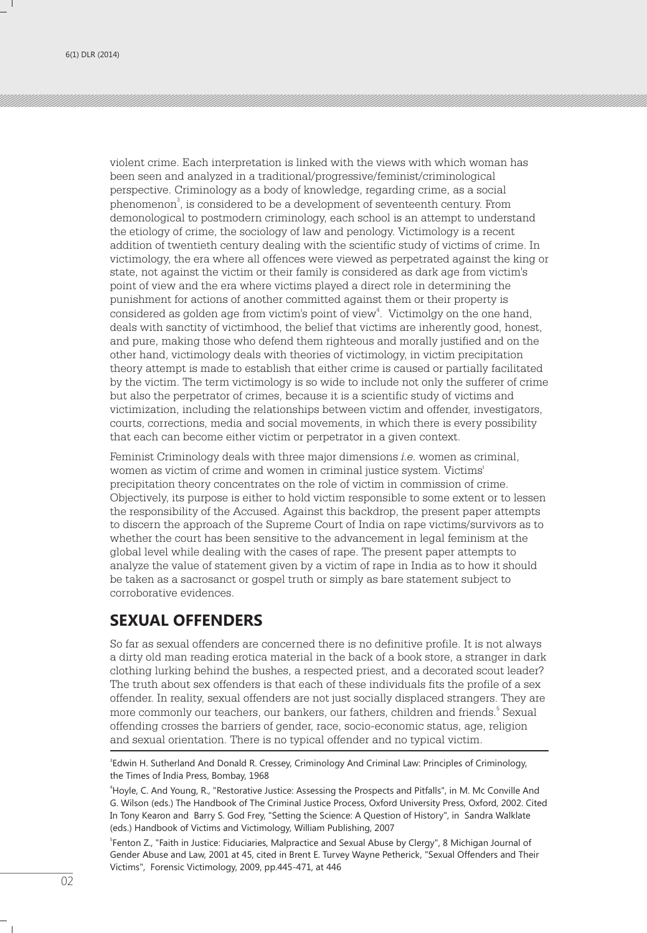violent crime. Each interpretation is linked with the views with which woman has been seen and analyzed in a traditional/progressive/feminist/criminological perspective. Criminology as a body of knowledge, regarding crime, as a social phenomenon<sup>3</sup>, is considered to be a development of seventeenth century. From demonological to postmodern criminology, each school is an attempt to understand the etiology of crime, the sociology of law and penology. Victimology is a recent addition of twentieth century dealing with the scientific study of victims of crime. In victimology, the era where all offences were viewed as perpetrated against the king or state, not against the victim or their family is considered as dark age from victim's point of view and the era where victims played a direct role in determining the punishment for actions of another committed against them or their property is considered as golden age from victim's point of view<sup>4</sup>. Victimolgy on the one hand, deals with sanctity of victimhood, the belief that victims are inherently good, honest, and pure, making those who defend them righteous and morally justified and on the other hand, victimology deals with theories of victimology, in victim precipitation theory attempt is made to establish that either crime is caused or partially facilitated by the victim. The term victimology is so wide to include not only the sufferer of crime but also the perpetrator of crimes, because it is a scientific study of victims and victimization, including the relationships between victim and offender, investigators, courts, corrections, media and social movements, in which there is every possibility that each can become either victim or perpetrator in a given context.

Feminist Criminology deals with three major dimensions *i.e.* women as criminal, women as victim of crime and women in criminal justice system. Victims' precipitation theory concentrates on the role of victim in commission of crime. Objectively, its purpose is either to hold victim responsible to some extent or to lessen the responsibility of the Accused. Against this backdrop, the present paper attempts to discern the approach of the Supreme Court of India on rape victims/survivors as to whether the court has been sensitive to the advancement in legal feminism at the global level while dealing with the cases of rape. The present paper attempts to analyze the value of statement given by a victim of rape in India as to how it should be taken as a sacrosanct or gospel truth or simply as bare statement subject to corroborative evidences.

## **SEXUAL OFFENDERS**

So far as sexual offenders are concerned there is no definitive profile. It is not always a dirty old man reading erotica material in the back of a book store, a stranger in dark clothing lurking behind the bushes, a respected priest, and a decorated scout leader? The truth about sex offenders is that each of these individuals fits the profile of a sex offender. In reality, sexual offenders are not just socially displaced strangers. They are more commonly our teachers, our bankers, our fathers, children and friends.<sup>5</sup> Sexual offending crosses the barriers of gender, race, socio-economic status, age, religion and sexual orientation. There is no typical offender and no typical victim.

<sup>3</sup>Edwin H. Sutherland And Donald R. Cressey, Criminology And Criminal Law: Principles of Criminology, the Times of India Press, Bombay, 1968

<sup>4</sup>Hoyle, C. And Young, R., "Restorative Justice: Assessing the Prospects and Pitfalls", in M. Mc Conville And G. Wilson (eds.) The Handbook of The Criminal Justice Process, Oxford University Press, Oxford, 2002. Cited In Tony Kearon and Barry S. God Frey, "Setting the Science: A Question of History", in Sandra Walklate (eds.) Handbook of Victims and Victimology, William Publishing, 2007

5 Fenton Z., "Faith in Justice: Fiduciaries, Malpractice and Sexual Abuse by Clergy", 8 Michigan Journal of Gender Abuse and Law, 2001 at 45, cited in Brent E. Turvey Wayne Petherick, "Sexual Offenders and Their Victims", Forensic Victimology, 2009, pp.445-471, at 446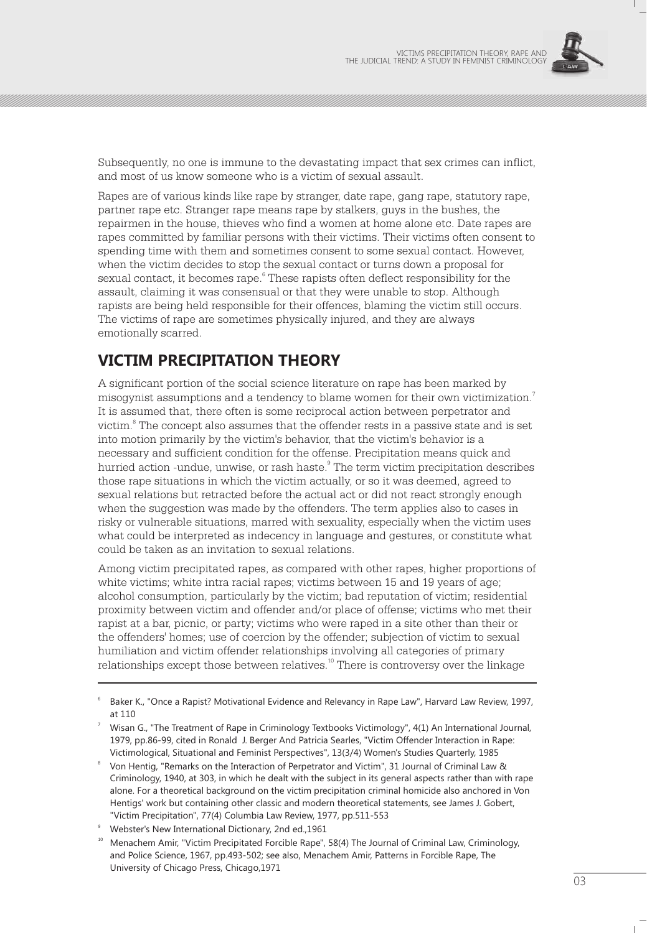

Subsequently, no one is immune to the devastating impact that sex crimes can inflict, and most of us know someone who is a victim of sexual assault.

Rapes are of various kinds like rape by stranger, date rape, gang rape, statutory rape, partner rape etc. Stranger rape means rape by stalkers, guys in the bushes, the repairmen in the house, thieves who find a women at home alone etc. Date rapes are rapes committed by familiar persons with their victims. Their victims often consent to spending time with them and sometimes consent to some sexual contact. However, when the victim decides to stop the sexual contact or turns down a proposal for sexual contact, it becomes rape.<sup>6</sup> These rapists often deflect responsibility for the assault, claiming it was consensual or that they were unable to stop. Although rapists are being held responsible for their offences, blaming the victim still occurs. The victims of rape are sometimes physically injured, and they are always emotionally scarred.

## **VICTIM PRECIPITATION THEORY**

A significant portion of the social science literature on rape has been marked by misogynist assumptions and a tendency to blame women for their own victimization.<sup>7</sup> It is assumed that, there often is some reciprocal action between perpetrator and victim.<sup>8</sup> The concept also assumes that the offender rests in a passive state and is set into motion primarily by the victim's behavior, that the victim's behavior is a necessary and sufficient condition for the offense. Precipitation means quick and hurried action -undue, unwise, or rash haste.<sup>9</sup> The term victim precipitation describes those rape situations in which the victim actually, or so it was deemed, agreed to sexual relations but retracted before the actual act or did not react strongly enough when the suggestion was made by the offenders. The term applies also to cases in risky or vulnerable situations, marred with sexuality, especially when the victim uses what could be interpreted as indecency in language and gestures, or constitute what could be taken as an invitation to sexual relations.

Among victim precipitated rapes, as compared with other rapes, higher proportions of white victims; white intra racial rapes; victims between 15 and 19 years of age; alcohol consumption, particularly by the victim; bad reputation of victim; residential proximity between victim and offender and/or place of offense; victims who met their rapist at a bar, picnic, or party; victims who were raped in a site other than their or the offenders' homes; use of coercion by the offender; subjection of victim to sexual humiliation and victim offender relationships involving all categories of primary relationships except those between relatives.<sup>10</sup> There is controversy over the linkage

- 8 Von Hentig, "Remarks on the Interaction of Perpetrator and Victim", 31 Journal of Criminal Law & Criminology, 1940, at 303, in which he dealt with the subject in its general aspects rather than with rape alone. For a theoretical background on the victim precipitation criminal homicide also anchored in Von Hentigs' work but containing other classic and modern theoretical statements, see James J. Gobert, "Victim Precipitation", 77(4) Columbia Law Review, 1977, pp.511-553
- <sup>9</sup> Webster's New International Dictionary, 2nd ed.,1961
- <sup>10</sup> Menachem Amir, "Victim Precipitated Forcible Rape", 58(4) The Journal of Criminal Law, Criminology, and Police Science, 1967, pp.493-502; see also, Menachem Amir, Patterns in Forcible Rape, The University of Chicago Press, Chicago,1971

<sup>6</sup> Baker K., "Once a Rapist? Motivational Evidence and Relevancy in Rape Law", Harvard Law Review, 1997, at 110

 $7$  Wisan G., "The Treatment of Rape in Criminology Textbooks Victimology", 4(1) An International Journal, 1979, pp.86-99, cited in Ronald J. Berger And Patricia Searles, "Victim Offender Interaction in Rape: Victimological, Situational and Feminist Perspectives", 13(3/4) Women's Studies Quarterly, 1985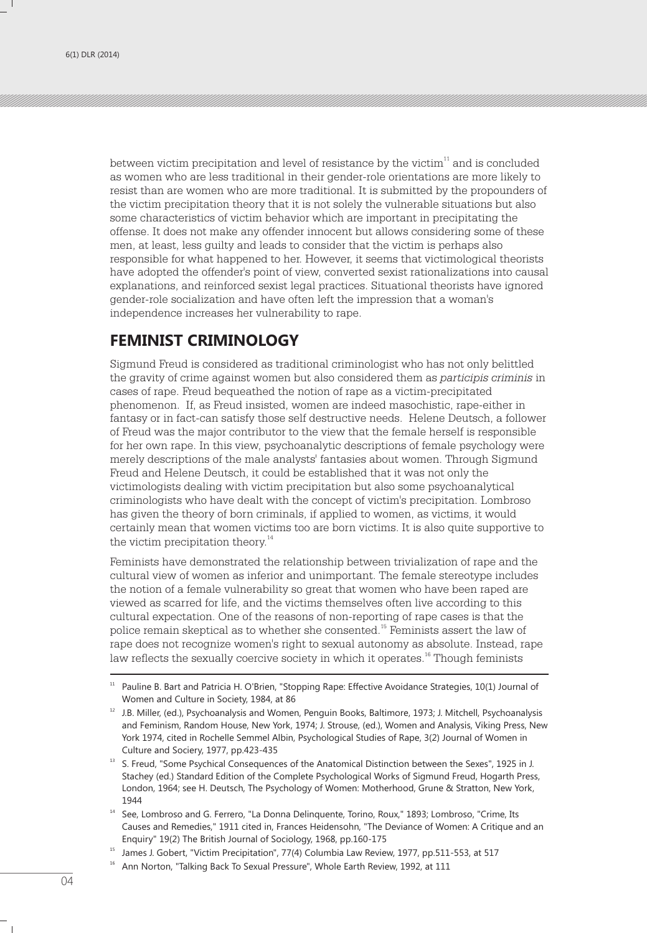between victim precipitation and level of resistance by the victim $11$  and is concluded as women who are less traditional in their gender-role orientations are more likely to resist than are women who are more traditional. It is submitted by the propounders of the victim precipitation theory that it is not solely the vulnerable situations but also some characteristics of victim behavior which are important in precipitating the offense. It does not make any offender innocent but allows considering some of these men, at least, less guilty and leads to consider that the victim is perhaps also responsible for what happened to her. However, it seems that victimological theorists have adopted the offender's point of view, converted sexist rationalizations into causal explanations, and reinforced sexist legal practices. Situational theorists have ignored gender-role socialization and have often left the impression that a woman's independence increases her vulnerability to rape.

### **FEMINIST CRIMINOLOGY**

Sigmund Freud is considered as traditional criminologist who has not only belittled the gravity of crime against women but also considered them as *participis criminis* in cases of rape. Freud bequeathed the notion of rape as a victim-precipitated phenomenon. If, as Freud insisted, women are indeed masochistic, rape-either in fantasy or in fact-can satisfy those self destructive needs. Helene Deutsch, a follower of Freud was the major contributor to the view that the female herself is responsible for her own rape. In this view, psychoanalytic descriptions of female psychology were merely descriptions of the male analysts' fantasies about women. Through Sigmund Freud and Helene Deutsch, it could be established that it was not only the victimologists dealing with victim precipitation but also some psychoanalytical criminologists who have dealt with the concept of victim's precipitation. Lombroso has given the theory of born criminals, if applied to women, as victims, it would certainly mean that women victims too are born victims. It is also quite supportive to the victim precipitation theory. $^{14}$ 

Feminists have demonstrated the relationship between trivialization of rape and the cultural view of women as inferior and unimportant. The female stereotype includes the notion of a female vulnerability so great that women who have been raped are viewed as scarred for life, and the victims themselves often live according to this cultural expectation. One of the reasons of non-reporting of rape cases is that the police remain skeptical as to whether she consented.<sup>15</sup> Feminists assert the law of rape does not recognize women's right to sexual autonomy as absolute. Instead, rape law reflects the sexually coercive society in which it operates.<sup>16</sup> Though feminists

Pauline B. Bart and Patricia H. O'Brien, "Stopping Rape: Effective Avoidance Strategies, 10(1) Journal of Women and Culture in Society, 1984, at 86

<sup>&</sup>lt;sup>12</sup> J.B. Miller, (ed.), Psychoanalysis and Women, Penguin Books, Baltimore, 1973; J. Mitchell, Psychoanalysis and Feminism, Random House, New York, 1974; J. Strouse, (ed.), Women and Analysis, Viking Press, New York 1974, cited in Rochelle Semmel Albin, Psychological Studies of Rape, 3(2) Journal of Women in Culture and Sociery, 1977, pp.423-435

<sup>&</sup>lt;sup>13</sup> S. Freud, "Some Psychical Consequences of the Anatomical Distinction between the Sexes", 1925 in J. Stachey (ed.) Standard Edition of the Complete Psychological Works of Sigmund Freud, Hogarth Press, London, 1964; see H. Deutsch, The Psychology of Women: Motherhood, Grune & Stratton, New York, 1944

<sup>&</sup>lt;sup>14</sup> See, Lombroso and G. Ferrero, "La Donna Delinquente, Torino, Roux," 1893; Lombroso, "Crime, Its Causes and Remedies," 1911 cited in, Frances Heidensohn, "The Deviance of Women: A Critique and an Enquiry" 19(2) The British Journal of Sociology, 1968, pp.160-175

<sup>&</sup>lt;sup>15</sup> James J. Gobert, "Victim Precipitation", 77(4) Columbia Law Review, 1977, pp.511-553, at 517

Ann Norton, "Talking Back To Sexual Pressure", Whole Earth Review, 1992, at 111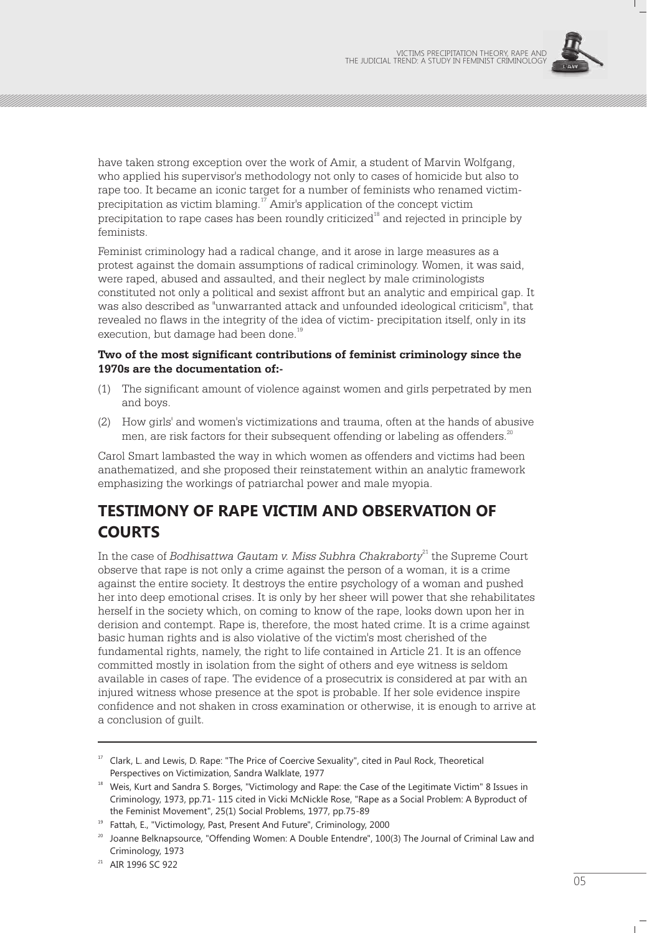

have taken strong exception over the work of Amir, a student of Marvin Wolfgang, who applied his supervisor's methodology not only to cases of homicide but also to rape too. It became an iconic target for a number of feminists who renamed victimprecipitation as victim blaming. $17$  Amir's application of the concept victim precipitation to rape cases has been roundly criticized<sup>18</sup> and rejected in principle by feminists.

Feminist criminology had a radical change, and it arose in large measures as a protest against the domain assumptions of radical criminology. Women, it was said, were raped, abused and assaulted, and their neglect by male criminologists constituted not only a political and sexist affront but an analytic and empirical gap. It was also described as "unwarranted attack and unfounded ideological criticism", that revealed no flaws in the integrity of the idea of victim- precipitation itself, only in its execution, but damage had been done.<sup>19</sup>

#### **Two of the most significant contributions of feminist criminology since the 1970s are the documentation of:-**

- (1) The significant amount of violence against women and girls perpetrated by men and boys.
- (2) How girls' and women's victimizations and trauma, often at the hands of abusive men, are risk factors for their subsequent offending or labeling as offenders.<sup>20</sup>

Carol Smart lambasted the way in which women as offenders and victims had been anathematized, and she proposed their reinstatement within an analytic framework emphasizing the workings of patriarchal power and male myopia.

## **TESTIMONY OF RAPE VICTIM AND OBSERVATION OF COURTS**

<sup>21</sup> In the case of *Bodhisattwa Gautam v. Miss Subhra Chakraborty* the Supreme Court observe that rape is not only a crime against the person of a woman, it is a crime against the entire society. It destroys the entire psychology of a woman and pushed her into deep emotional crises. It is only by her sheer will power that she rehabilitates herself in the society which, on coming to know of the rape, looks down upon her in derision and contempt. Rape is, therefore, the most hated crime. It is a crime against basic human rights and is also violative of the victim's most cherished of the fundamental rights, namely, the right to life contained in Article 21. It is an offence committed mostly in isolation from the sight of others and eye witness is seldom available in cases of rape. The evidence of a prosecutrix is considered at par with an injured witness whose presence at the spot is probable. If her sole evidence inspire confidence and not shaken in cross examination or otherwise, it is enough to arrive at a conclusion of guilt.

<sup>&</sup>lt;sup>17</sup> Clark, L. and Lewis, D. Rape: "The Price of Coercive Sexuality", cited in Paul Rock, Theoretical Perspectives on Victimization, Sandra Walklate, 1977

<sup>&</sup>lt;sup>18</sup> Weis, Kurt and Sandra S. Borges, "Victimology and Rape: the Case of the Legitimate Victim" 8 Issues in Criminology, 1973, pp.71- 115 cited in Vicki McNickle Rose, "Rape as a Social Problem: A Byproduct of the Feminist Movement", 25(1) Social Problems, 1977, pp.75-89

<sup>&</sup>lt;sup>19</sup> Fattah, E., "Victimology, Past, Present And Future", Criminology, 2000

<sup>&</sup>lt;sup>20</sup> Joanne Belknapsource, "Offending Women: A Double Entendre", 100(3) The Journal of Criminal Law and Criminology, 1973

<sup>21</sup> AIR 1996 SC 922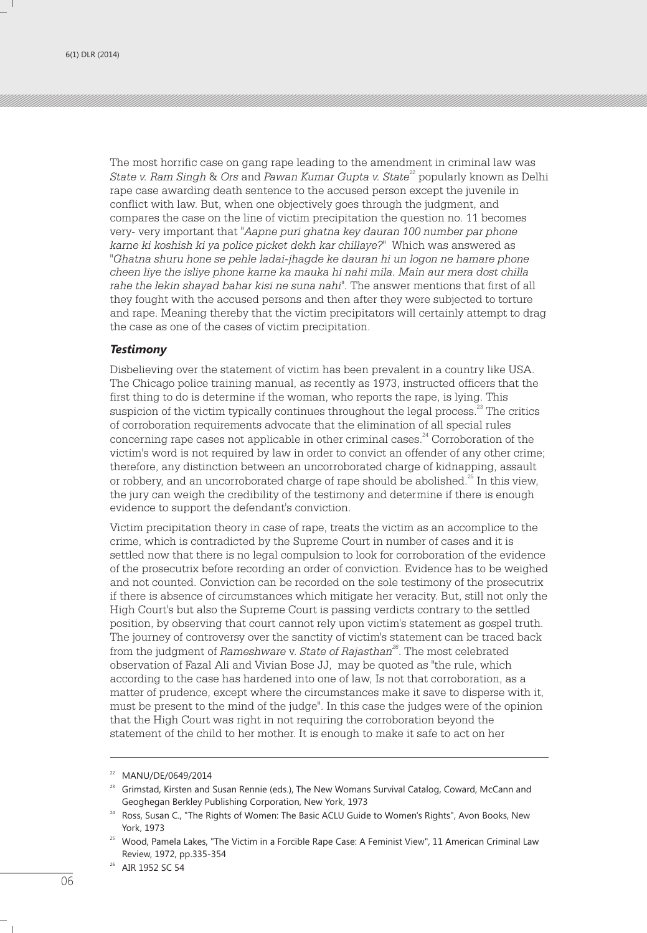The most horrific case on gang rape leading to the amendment in criminal law was <sup>22</sup> *State v. Ram Singh* & *Ors* and *Pawan Kumar Gupta v. State* popularly known as Delhi rape case awarding death sentence to the accused person except the juvenile in conflict with law. But, when one objectively goes through the judgment, and compares the case on the line of victim precipitation the question no. 11 becomes very- very important that *"Aapne puri ghatna key dauran 100 number par phone karne ki koshish ki ya police picket dekh kar chillaye?"* Which was answered as *"Ghatna shuru hone se pehle ladai-jhagde ke dauran hi un logon ne hamare phone cheen liye the isliye phone karne ka mauka hi nahi mila. Main aur mera dost chilla rahe the lekin shayad bahar kisi ne suna nahi".* The answer mentions that first of all they fought with the accused persons and then after they were subjected to torture and rape. Meaning thereby that the victim precipitators will certainly attempt to drag the case as one of the cases of victim precipitation.

#### *Testimony*

Disbelieving over the statement of victim has been prevalent in a country like USA. The Chicago police training manual, as recently as 1973, instructed officers that the first thing to do is determine if the woman, who reports the rape, is lying. This suspicion of the victim typically continues throughout the legal process. $^{23}$  The critics of corroboration requirements advocate that the elimination of all special rules concerning rape cases not applicable in other criminal cases.<sup>24</sup> Corroboration of the victim's word is not required by law in order to convict an offender of any other crime; therefore, any distinction between an uncorroborated charge of kidnapping, assault or robbery, and an uncorroborated charge of rape should be abolished. $^{25}$  In this view, the jury can weigh the credibility of the testimony and determine if there is enough evidence to support the defendant's conviction.

Victim precipitation theory in case of rape, treats the victim as an accomplice to the crime, which is contradicted by the Supreme Court in number of cases and it is settled now that there is no legal compulsion to look for corroboration of the evidence of the prosecutrix before recording an order of conviction. Evidence has to be weighed and not counted. Conviction can be recorded on the sole testimony of the prosecutrix if there is absence of circumstances which mitigate her veracity. But, still not only the High Court's but also the Supreme Court is passing verdicts contrary to the settled position, by observing that court cannot rely upon victim's statement as gospel truth. The journey of controversy over the sanctity of victim's statement can be traced back *<sup>26</sup>* from the judgment of *Rameshware* v. *State of Rajasthan* . The most celebrated observation of Fazal Ali and Vivian Bose JJ, may be quoted as "the rule, which according to the case has hardened into one of law, Is not that corroboration, as a matter of prudence, except where the circumstances make it save to disperse with it, must be present to the mind of the judge". In this case the judges were of the opinion that the High Court was right in not requiring the corroboration beyond the statement of the child to her mother. It is enough to make it safe to act on her

<sup>22</sup> MANU/DE/0649/2014

<sup>&</sup>lt;sup>23</sup> Grimstad, Kirsten and Susan Rennie (eds.), The New Womans Survival Catalog, Coward, McCann and Geoghegan Berkley Publishing Corporation, New York, 1973

<sup>&</sup>lt;sup>24</sup> Ross, Susan C., "The Rights of Women: The Basic ACLU Guide to Women's Rights", Avon Books, New York, 1973

<sup>&</sup>lt;sup>25</sup> Wood, Pamela Lakes, "The Victim in a Forcible Rape Case: A Feminist View", 11 American Criminal Law Review, 1972, pp.335-354

<sup>&</sup>lt;sup>26</sup> AIR 1952 SC 54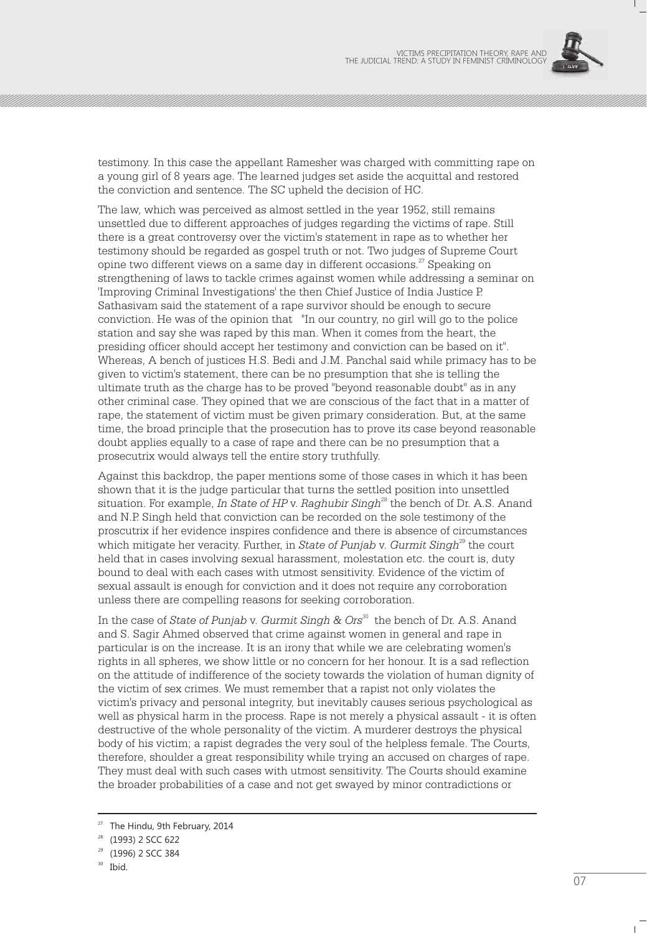

testimony. In this case the appellant Ramesher was charged with committing rape on a young girl of 8 years age. The learned judges set aside the acquittal and restored the conviction and sentence. The SC upheld the decision of HC.

The law, which was perceived as almost settled in the year 1952, still remains unsettled due to different approaches of judges regarding the victims of rape. Still there is a great controversy over the victim's statement in rape as to whether her testimony should be regarded as gospel truth or not. Two judges of Supreme Court opine two different views on a same day in different occasions.<sup>27</sup> Speaking on strengthening of laws to tackle crimes against women while addressing a seminar on 'Improving Criminal Investigations' the then Chief Justice of India Justice P. Sathasivam said the statement of a rape survivor should be enough to secure conviction. He was of the opinion that "In our country, no girl will go to the police station and say she was raped by this man. When it comes from the heart, the presiding officer should accept her testimony and conviction can be based on it". Whereas, A bench of justices H.S. Bedi and J.M. Panchal said while primacy has to be given to victim's statement, there can be no presumption that she is telling the ultimate truth as the charge has to be proved "beyond reasonable doubt" as in any other criminal case. They opined that we are conscious of the fact that in a matter of rape, the statement of victim must be given primary consideration. But, at the same time, the broad principle that the prosecution has to prove its case beyond reasonable doubt applies equally to a case of rape and there can be no presumption that a prosecutrix would always tell the entire story truthfully.

Against this backdrop, the paper mentions some of those cases in which it has been shown that it is the judge particular that turns the settled position into unsettled <sup>28</sup> situation. For example, *In State of HP* v. *Raghubir Singh* the bench of Dr. A.S. Anand and N.P. Singh held that conviction can be recorded on the sole testimony of the proscutrix if her evidence inspires confidence and there is absence of circumstances which mitigate her veracity. Further, in *State of Punjab v. Gurmit Singh*<sup>29</sup> the court held that in cases involving sexual harassment, molestation etc. the court is, duty bound to deal with each cases with utmost sensitivity. Evidence of the victim of sexual assault is enough for conviction and it does not require any corroboration unless there are compelling reasons for seeking corroboration.

In the case of *State of Punjab v. Gurmit Singh & Ors*<sup>30</sup> the bench of Dr. A.S. Anand and S. Sagir Ahmed observed that crime against women in general and rape in particular is on the increase. It is an irony that while we are celebrating women's rights in all spheres, we show little or no concern for her honour. It is a sad reflection on the attitude of indifference of the society towards the violation of human dignity of the victim of sex crimes. We must remember that a rapist not only violates the victim's privacy and personal integrity, but inevitably causes serious psychological as well as physical harm in the process. Rape is not merely a physical assault - it is often destructive of the whole personality of the victim. A murderer destroys the physical body of his victim; a rapist degrades the very soul of the helpless female. The Courts, therefore, shoulder a great responsibility while trying an accused on charges of rape. They must deal with such cases with utmost sensitivity. The Courts should examine the broader probabilities of a case and not get swayed by minor contradictions or

<sup>&</sup>lt;sup>27</sup> The Hindu, 9th February, 2014

<sup>28</sup> (1993) 2 SCC 622

<sup>29</sup> (1996) 2 SCC 384

<sup>30</sup> Ibid.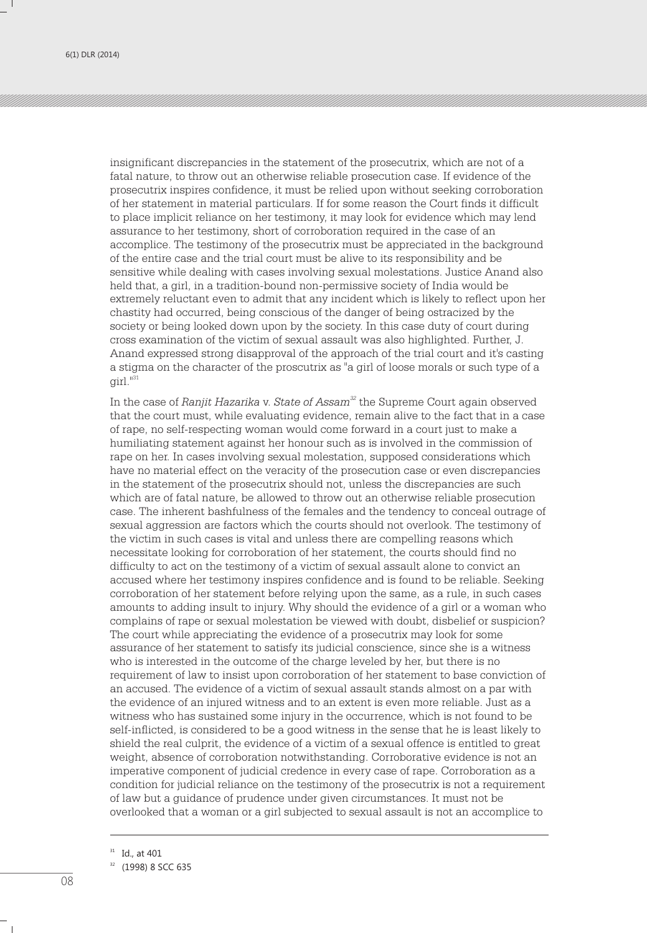insignificant discrepancies in the statement of the prosecutrix, which are not of a fatal nature, to throw out an otherwise reliable prosecution case. If evidence of the prosecutrix inspires confidence, it must be relied upon without seeking corroboration of her statement in material particulars. If for some reason the Court finds it difficult to place implicit reliance on her testimony, it may look for evidence which may lend assurance to her testimony, short of corroboration required in the case of an accomplice. The testimony of the prosecutrix must be appreciated in the background of the entire case and the trial court must be alive to its responsibility and be sensitive while dealing with cases involving sexual molestations. Justice Anand also held that, a girl, in a tradition-bound non-permissive society of India would be extremely reluctant even to admit that any incident which is likely to reflect upon her chastity had occurred, being conscious of the danger of being ostracized by the society or being looked down upon by the society. In this case duty of court during cross examination of the victim of sexual assault was also highlighted. Further, J. Anand expressed strong disapproval of the approach of the trial court and it's casting a stigma on the character of the proscutrix as "a girl of loose morals or such type of a qirl."31

In the case of *Ranjit Hazarika* v. *State of Assam<sup>32</sup>* the Supreme Court again observed that the court must, while evaluating evidence, remain alive to the fact that in a case of rape, no self-respecting woman would come forward in a court just to make a humiliating statement against her honour such as is involved in the commission of rape on her. In cases involving sexual molestation, supposed considerations which have no material effect on the veracity of the prosecution case or even discrepancies in the statement of the prosecutrix should not, unless the discrepancies are such which are of fatal nature, be allowed to throw out an otherwise reliable prosecution case. The inherent bashfulness of the females and the tendency to conceal outrage of sexual aggression are factors which the courts should not overlook. The testimony of the victim in such cases is vital and unless there are compelling reasons which necessitate looking for corroboration of her statement, the courts should find no difficulty to act on the testimony of a victim of sexual assault alone to convict an accused where her testimony inspires confidence and is found to be reliable. Seeking corroboration of her statement before relying upon the same, as a rule, in such cases amounts to adding insult to injury. Why should the evidence of a girl or a woman who complains of rape or sexual molestation be viewed with doubt, disbelief or suspicion? The court while appreciating the evidence of a prosecutrix may look for some assurance of her statement to satisfy its judicial conscience, since she is a witness who is interested in the outcome of the charge leveled by her, but there is no requirement of law to insist upon corroboration of her statement to base conviction of an accused. The evidence of a victim of sexual assault stands almost on a par with the evidence of an injured witness and to an extent is even more reliable. Just as a witness who has sustained some injury in the occurrence, which is not found to be self-inflicted, is considered to be a good witness in the sense that he is least likely to shield the real culprit, the evidence of a victim of a sexual offence is entitled to great weight, absence of corroboration notwithstanding. Corroborative evidence is not an imperative component of judicial credence in every case of rape. Corroboration as a condition for judicial reliance on the testimony of the prosecutrix is not a requirement of law but a guidance of prudence under given circumstances. It must not be overlooked that a woman or a girl subjected to sexual assault is not an accomplice to

 $31$  Id., at 401

<sup>32</sup> (1998) 8 SCC 635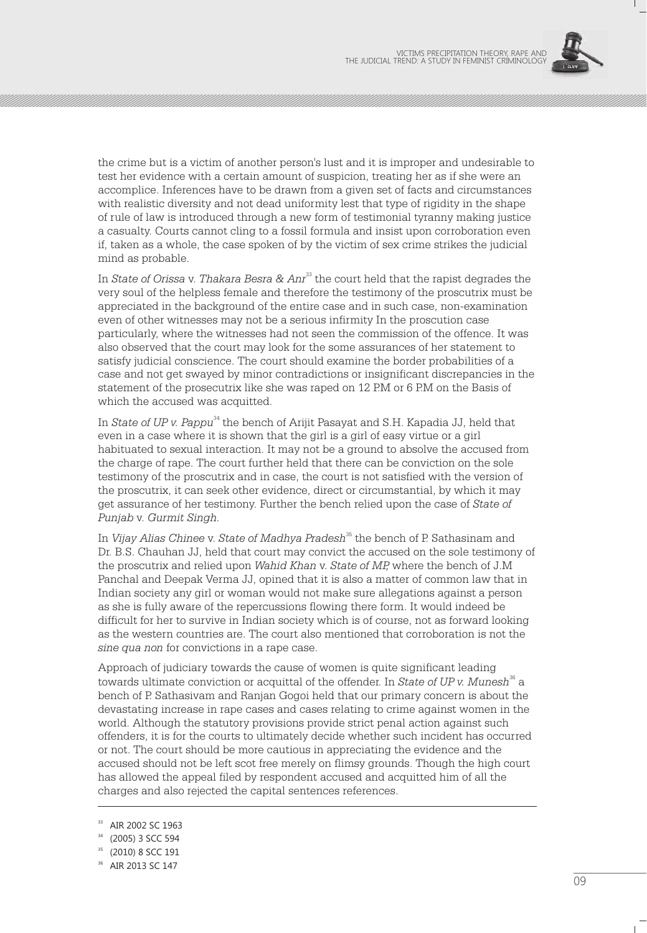

the crime but is a victim of another person's lust and it is improper and undesirable to test her evidence with a certain amount of suspicion, treating her as if she were an accomplice. Inferences have to be drawn from a given set of facts and circumstances with realistic diversity and not dead uniformity lest that type of rigidity in the shape of rule of law is introduced through a new form of testimonial tyranny making justice a casualty. Courts cannot cling to a fossil formula and insist upon corroboration even if, taken as a whole, the case spoken of by the victim of sex crime strikes the judicial mind as probable.

In *State of Orissa v. Thakara Besra & Anr*<sup>33</sup> the court held that the rapist degrades the very soul of the helpless female and therefore the testimony of the proscutrix must be appreciated in the background of the entire case and in such case, non-examination even of other witnesses may not be a serious infirmity In the proscution case particularly, where the witnesses had not seen the commission of the offence. It was also observed that the court may look for the some assurances of her statement to satisfy judicial conscience. The court should examine the border probabilities of a case and not get swayed by minor contradictions or insignificant discrepancies in the statement of the prosecutrix like she was raped on 12 P.M or 6 P.M on the Basis of which the accused was acquitted.

In *State of UP v. Pappu*<sup>34</sup> the bench of Arijit Pasayat and S.H. Kapadia JJ, held that even in a case where it is shown that the girl is a girl of easy virtue or a girl habituated to sexual interaction. It may not be a ground to absolve the accused from the charge of rape. The court further held that there can be conviction on the sole testimony of the proscutrix and in case, the court is not satisfied with the version of the proscutrix, it can seek other evidence, direct or circumstantial, by which it may get assurance of her testimony. Further the bench relied upon the case of *State of Punjab* v. *Gurmit Singh.*

In *Vijay Alias Chinee* v. *State of Madhya Pradesh*<sup>35</sup> the bench of P. Sathasinam and Dr. B.S. Chauhan JJ, held that court may convict the accused on the sole testimony of the proscutrix and relied upon *Wahid Khan* v. *State of MP,* where the bench of J.M Panchal and Deepak Verma JJ, opined that it is also a matter of common law that in Indian society any girl or woman would not make sure allegations against a person as she is fully aware of the repercussions flowing there form. It would indeed be difficult for her to survive in Indian society which is of course, not as forward looking as the western countries are. The court also mentioned that corroboration is not the *sine qua non* for convictions in a rape case.

Approach of judiciary towards the cause of women is quite significant leading towards ultimate conviction or acquittal of the offender. In *State of UP v. Munesh*<sup>36</sup> a bench of P. Sathasivam and Ranjan Gogoi held that our primary concern is about the devastating increase in rape cases and cases relating to crime against women in the world. Although the statutory provisions provide strict penal action against such offenders, it is for the courts to ultimately decide whether such incident has occurred or not. The court should be more cautious in appreciating the evidence and the accused should not be left scot free merely on flimsy grounds. Though the high court has allowed the appeal filed by respondent accused and acquitted him of all the charges and also rejected the capital sentences references.

<sup>&</sup>lt;sup>33</sup> AIR 2002 SC 1963

<sup>34</sup> (2005) 3 SCC 594

<sup>&</sup>lt;sup>35</sup> (2010) 8 SCC 191

<sup>&</sup>lt;sup>36</sup> AIR 2013 SC 147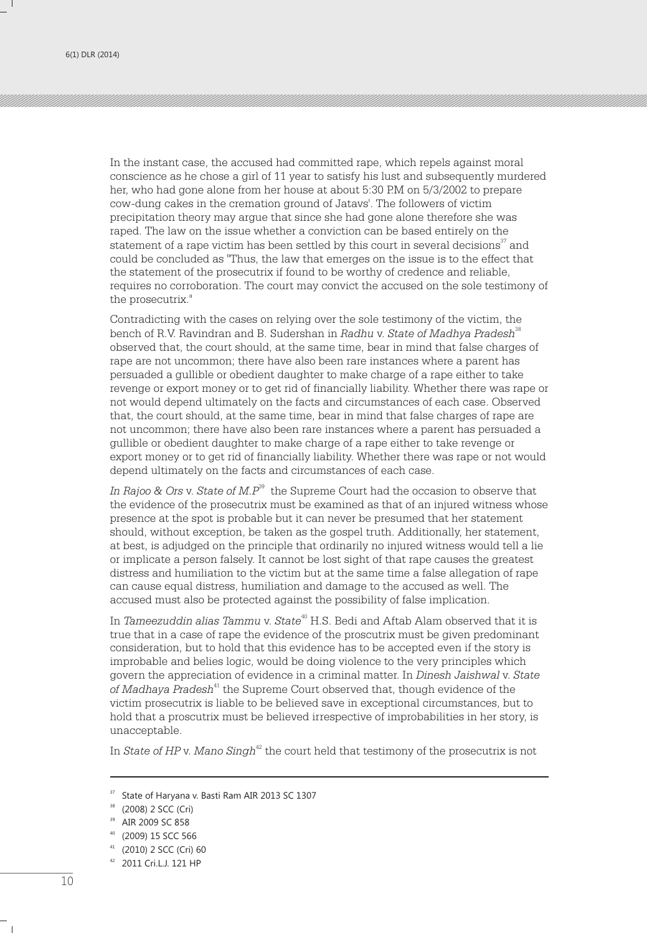In the instant case, the accused had committed rape, which repels against moral conscience as he chose a girl of 11 year to satisfy his lust and subsequently murdered her, who had gone alone from her house at about 5:30 P.M on 5/3/2002 to prepare cow-dung cakes in the cremation ground of Jatavs'. The followers of victim precipitation theory may argue that since she had gone alone therefore she was raped. The law on the issue whether a conviction can be based entirely on the statement of a rape victim has been settled by this court in several decisions<sup>37</sup> and could be concluded as "Thus, the law that emerges on the issue is to the effect that the statement of the prosecutrix if found to be worthy of credence and reliable, requires no corroboration. The court may convict the accused on the sole testimony of the prosecutrix."

Contradicting with the cases on relying over the sole testimony of the victim, the <sup>38</sup> bench of R.V. Ravindran and B. Sudershan in *Radhu* v. *State of Madhya Pradesh* observed that, the court should, at the same time, bear in mind that false charges of rape are not uncommon; there have also been rare instances where a parent has persuaded a gullible or obedient daughter to make charge of a rape either to take revenge or export money or to get rid of financially liability. Whether there was rape or not would depend ultimately on the facts and circumstances of each case. Observed that, the court should, at the same time, bear in mind that false charges of rape are not uncommon; there have also been rare instances where a parent has persuaded a gullible or obedient daughter to make charge of a rape either to take revenge or export money or to get rid of financially liability. Whether there was rape or not would depend ultimately on the facts and circumstances of each case.

In Rajoo & Ors v. State of M.P<sup>39</sup> the Supreme Court had the occasion to observe that the evidence of the prosecutrix must be examined as that of an injured witness whose presence at the spot is probable but it can never be presumed that her statement should, without exception, be taken as the gospel truth. Additionally, her statement, at best, is adjudged on the principle that ordinarily no injured witness would tell a lie or implicate a person falsely. It cannot be lost sight of that rape causes the greatest distress and humiliation to the victim but at the same time a false allegation of rape can cause equal distress, humiliation and damage to the accused as well. The accused must also be protected against the possibility of false implication.

In *Tameezuddin alias Tammu v. State<sup>40</sup> H.S. Bedi and Aftab Alam observed that it is* true that in a case of rape the evidence of the proscutrix must be given predominant consideration, but to hold that this evidence has to be accepted even if the story is improbable and belies logic, would be doing violence to the very principles which govern the appreciation of evidence in a criminal matter. In *Dinesh Jaishwal* v. *State*  of Madhaya Pradesh<sup>41</sup> the Supreme Court observed that, though evidence of the victim prosecutrix is liable to be believed save in exceptional circumstances, but to hold that a proscutrix must be believed irrespective of improbabilities in her story, is unacceptable.

In *State of HP v. Mano Singh*<sup>42</sup> the court held that testimony of the prosecutrix is not

- <sup>40</sup> (2009) 15 SCC 566
- <sup>41</sup> (2010) 2 SCC (Cri) 60
- <sup>42</sup> 2011 Cri.L.J. 121 HP

<sup>&</sup>lt;sup>37</sup> State of Haryana v. Basti Ram AIR 2013 SC 1307

<sup>38</sup> (2008) 2 SCC (Cri)

<sup>39</sup> AIR 2009 SC 858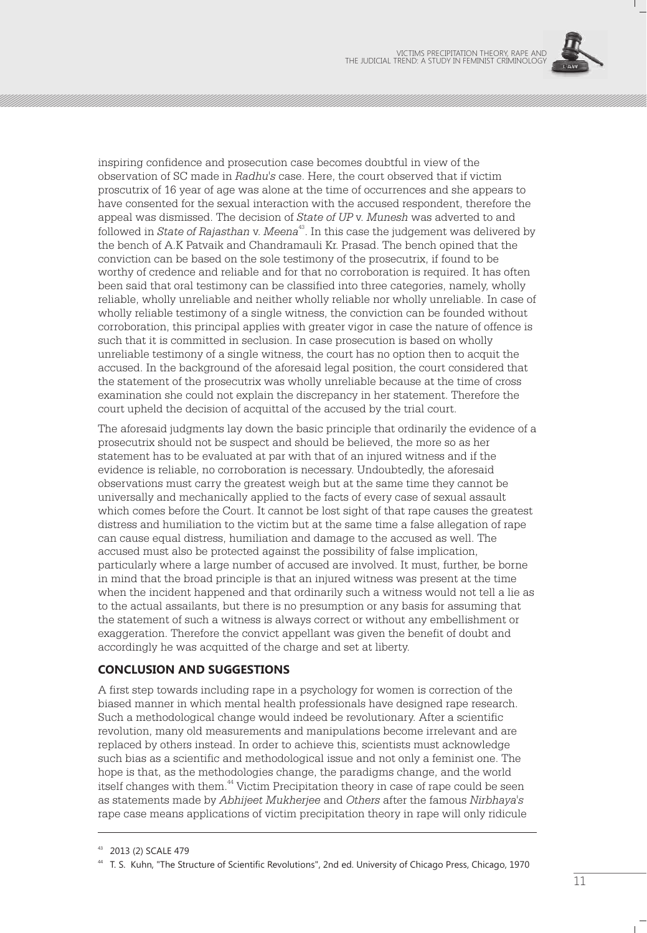

inspiring confidence and prosecution case becomes doubtful in view of the observation of SC made in *Radhu's* case. Here, the court observed that if victim proscutrix of 16 year of age was alone at the time of occurrences and she appears to have consented for the sexual interaction with the accused respondent, therefore the appeal was dismissed. The decision of *State of UP* v. *Munesh* was adverted to and followed in *State of Rajasthan v. Meena*<sup>43</sup>. In this case the judgement was delivered by the bench of A.K Patvaik and Chandramauli Kr. Prasad. The bench opined that the conviction can be based on the sole testimony of the prosecutrix, if found to be worthy of credence and reliable and for that no corroboration is required. It has often been said that oral testimony can be classified into three categories, namely, wholly reliable, wholly unreliable and neither wholly reliable nor wholly unreliable. In case of wholly reliable testimony of a single witness, the conviction can be founded without corroboration, this principal applies with greater vigor in case the nature of offence is such that it is committed in seclusion. In case prosecution is based on wholly unreliable testimony of a single witness, the court has no option then to acquit the accused. In the background of the aforesaid legal position, the court considered that the statement of the prosecutrix was wholly unreliable because at the time of cross examination she could not explain the discrepancy in her statement. Therefore the court upheld the decision of acquittal of the accused by the trial court.

The aforesaid judgments lay down the basic principle that ordinarily the evidence of a prosecutrix should not be suspect and should be believed, the more so as her statement has to be evaluated at par with that of an injured witness and if the evidence is reliable, no corroboration is necessary. Undoubtedly, the aforesaid observations must carry the greatest weigh but at the same time they cannot be universally and mechanically applied to the facts of every case of sexual assault which comes before the Court. It cannot be lost sight of that rape causes the greatest distress and humiliation to the victim but at the same time a false allegation of rape can cause equal distress, humiliation and damage to the accused as well. The accused must also be protected against the possibility of false implication, particularly where a large number of accused are involved. It must, further, be borne in mind that the broad principle is that an injured witness was present at the time when the incident happened and that ordinarily such a witness would not tell a lie as to the actual assailants, but there is no presumption or any basis for assuming that the statement of such a witness is always correct or without any embellishment or exaggeration. Therefore the convict appellant was given the benefit of doubt and accordingly he was acquitted of the charge and set at liberty.

### **CONCLUSION AND SUGGESTIONS**

A first step towards including rape in a psychology for women is correction of the biased manner in which mental health professionals have designed rape research. Such a methodological change would indeed be revolutionary. After a scientific revolution, many old measurements and manipulations become irrelevant and are replaced by others instead. In order to achieve this, scientists must acknowledge such bias as a scientific and methodological issue and not only a feminist one. The hope is that, as the methodologies change, the paradigms change, and the world itself changes with them.<sup>44</sup> Victim Precipitation theory in case of rape could be seen as statements made by *Abhijeet Mukherjee* and *Others* after the famous *Nirbhaya's* rape case means applications of victim precipitation theory in rape will only ridicule

<sup>43</sup> 2013 (2) SCALE 479

<sup>44</sup> T. S. Kuhn, "The Structure of Scientific Revolutions", 2nd ed. University of Chicago Press, Chicago, 1970